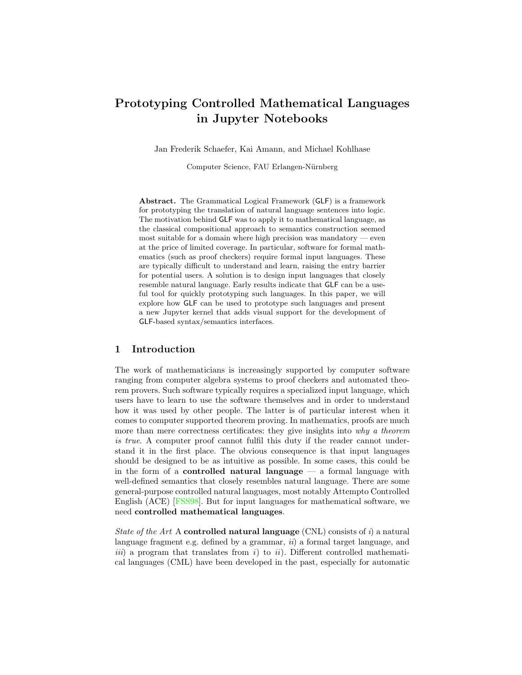# Prototyping Controlled Mathematical Languages in Jupyter Notebooks

Jan Frederik Schaefer, Kai Amann, and Michael Kohlhase

Computer Science, FAU Erlangen-Nürnberg

Abstract. The Grammatical Logical Framework (GLF) is a framework for prototyping the translation of natural language sentences into logic. The motivation behind GLF was to apply it to mathematical language, as the classical compositional approach to semantics construction seemed most suitable for a domain where high precision was mandatory  $-$  even at the price of limited coverage. In particular, software for formal mathematics (such as proof checkers) require formal input languages. These are typically difficult to understand and learn, raising the entry barrier for potential users. A solution is to design input languages that closely resemble natural language. Early results indicate that GLF can be a useful tool for quickly prototyping such languages. In this paper, we will explore how GLF can be used to prototype such languages and present a new Jupyter kernel that adds visual support for the development of GLF-based syntax/semantics interfaces.

## 1 Introduction

The work of mathematicians is increasingly supported by computer software ranging from computer algebra systems to proof checkers and automated theorem provers. Such software typically requires a specialized input language, which users have to learn to use the software themselves and in order to understand how it was used by other people. The latter is of particular interest when it comes to computer supported theorem proving. In mathematics, proofs are much more than mere correctness certificates: they give insights into why a theorem is true. A computer proof cannot fulfil this duty if the reader cannot understand it in the first place. The obvious consequence is that input languages should be designed to be as intuitive as possible. In some cases, this could be in the form of a **controlled natural language**  $\equiv$  a formal language with well-defined semantics that closely resembles natural language. There are some general-purpose controlled natural languages, most notably Attempto Controlled English (ACE) [\[FSS98\]](#page-9-0). But for input languages for mathematical software, we need controlled mathematical languages.

State of the Art A controlled natural language (CNL) consists of i) a natural language fragment e.g. defined by a grammar,  $ii)$  a formal target language, and iii) a program that translates from  $i$ ) to  $ii$ ). Different controlled mathematical languages (CML) have been developed in the past, especially for automatic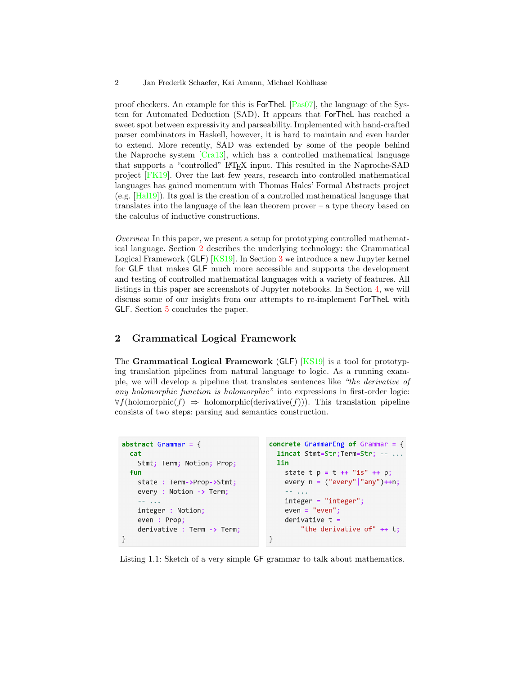proof checkers. An example for this is ForTheL  $[Pas07]$ , the language of the System for Automated Deduction (SAD). It appears that ForTheL has reached a sweet spot between expressivity and parseability. Implemented with hand-crafted parser combinators in Haskell, however, it is hard to maintain and even harder to extend. More recently, SAD was extended by some of the people behind the Naproche system [\[Cra13\]](#page-9-2), which has a controlled mathematical language that supports a "controlled" LATEX input. This resulted in the Naproche-SAD project [\[FK19\]](#page-9-3). Over the last few years, research into controlled mathematical languages has gained momentum with Thomas Hales' Formal Abstracts project (e.g. [\[Hal19\]](#page-9-4)). Its goal is the creation of a controlled mathematical language that translates into the language of the lean theorem prover – a type theory based on the calculus of inductive constructions.

Overview In this paper, we present a setup for prototyping controlled mathematical language. Section [2](#page-1-0) describes the underlying technology: the Grammatical Logical Framework (GLF) [\[KS19\]](#page-9-5). In Section [3](#page-3-0) we introduce a new Jupyter kernel for GLF that makes GLF much more accessible and supports the development and testing of controlled mathematical languages with a variety of features. All listings in this paper are screenshots of Jupyter notebooks. In Section [4,](#page-5-0) we will discuss some of our insights from our attempts to re-implement ForTheL with GLF. Section [5](#page-7-0) concludes the paper.

# <span id="page-1-0"></span>2 Grammatical Logical Framework

The Grammatical Logical Framework (GLF)  $[KS19]$  is a tool for prototyping translation pipelines from natural language to logic. As a running example, we will develop a pipeline that translates sentences like "the derivative of any holomorphic function is holomorphic" into expressions in first-order logic:  $\forall f(\text{holomorphic}(f) \Rightarrow \text{holomorphic}(derivative(f))).$  This translation pipeline consists of two steps: parsing and semantics construction.

```
abstract Grammar = \{concrete GrammarEng of Grammar = \{cat
                                         lincat Stmt=Str;Term=Str; -- ...
    Stmt; Term; Notion; Prop;
                                         lin
                                           state t p = t + "is" ++ p;
  fun
                                           every n = ("every" | "any")++n;state : Term->Prop->Stmt;
    every : Notion -> Term;
                                           - - 111integer = "integer";
    \sigma = 1.11 .
                                           even = "even";integer : Notion;
    even : Prop;
                                           derivative t =derivative : Term -> Term;
                                                "the derivative of" ++ t;
                                       \}}
```
Listing 1.1: Sketch of a very simple GF grammar to talk about mathematics.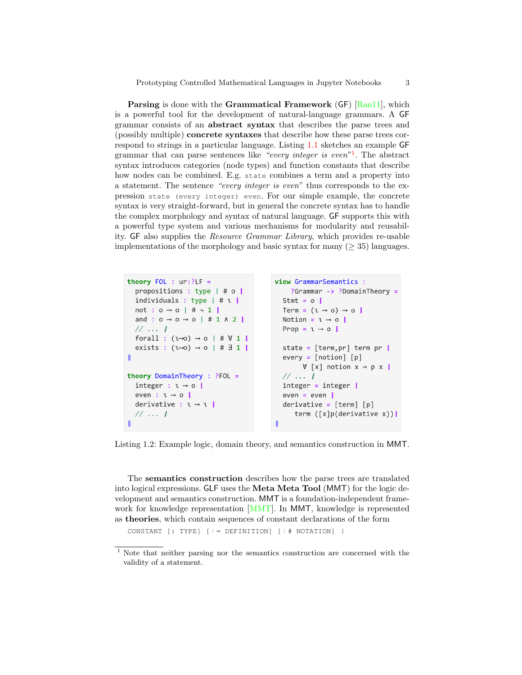Parsing is done with the Grammatical Framework (GF) [\[Ran11\]](#page-9-6), which is a powerful tool for the development of natural-language grammars. A GF grammar consists of an abstract syntax that describes the parse trees and (possibly multiple) concrete syntaxes that describe how these parse trees correspond to strings in a particular language. Listing [1.1](#page-1-1) sketches an example GF grammar that can parse sentences like "every integer is even"<sup>[1](#page-2-0)</sup>. The abstract syntax introduces categories (node types) and function constants that describe how nodes can be combined. E.g. state combines a term and a property into a statement. The sentence "every integer is even" thus corresponds to the expression state (every integer) even. For our simple example, the concrete syntax is very straight-forward, but in general the concrete syntax has to handle the complex morphology and syntax of natural language. GF supports this with a powerful type system and various mechanisms for modularity and reusability. GF also supplies the Resource Grammar Library, which provides re-usable implementations of the morphology and basic syntax for many  $(> 35)$  languages.

```
theory FOL : ur:?LF =view GrammarSemantics :
  propositions : type | # o |?Grammar -> ?DomainTheory =
  individuals : type | # \vert |
                                                    Stmt = o |
  not : o \rightarrow o | # \neg 1 |
                                                    Term = (1 \rightarrow 0) \rightarrow 0and : 0 \rightarrow 0 \rightarrow 0 | # 1 \Lambda 2 |
                                                    Notion = 1 \rightarrow 0 |
  11...1Prop = t \rightarrow 0forall : (1\rightarrow 0) \rightarrow 0 | # \forall 1 |
  exists : (1\rightarrow 0) \rightarrow 0 | # \exists 1 |
                                                    state = [term, pr] term pr |every = [notion] [p]\forall [x] notion x \Rightarrow p \times |
theory DomainTheory : ?FOL =11...1integer = integerinteger : \tau \rightarrow o |
  even : \tau \rightarrow o |
                                                    even = evenderivative : \iota \rightarrow \iota |
                                                    derivative = [term] [p]1/ ... 1
                                                        term ([x]p(derivative x))
```
Listing 1.2: Example logic, domain theory, and semantics construction in MMT.

The semantics construction describes how the parse trees are translated into logical expressions. GLF uses the Meta Meta Tool (MMT) for the logic development and semantics construction. MMT is a foundation-independent framework for knowledge representation [\[MMT\]](#page-9-7). In MMT, knowledge is represented as theories, which contain sequences of constant declarations of the form

CONSTANT  $[: TYPE]$   $[ |=$  DEFINITION]  $[ +$  NOTATION]  $||$ 

<span id="page-2-0"></span><sup>1</sup> Note that neither parsing nor the semantics construction are concerned with the validity of a statement.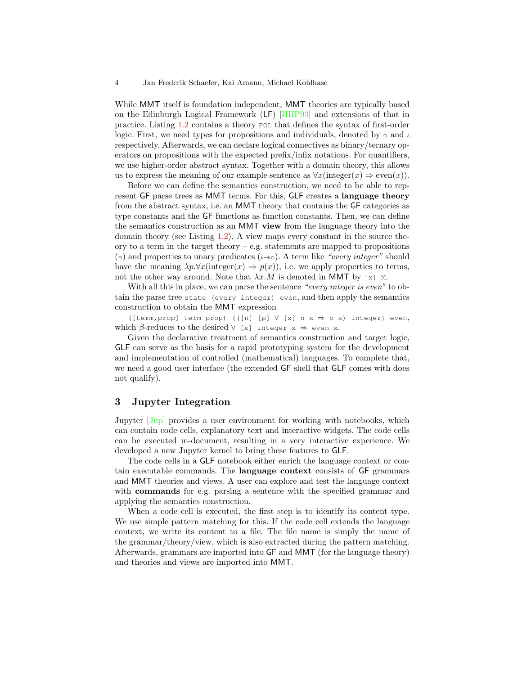While MMT itself is foundation independent, MMT theories are typically based on the Edinburgh Logical Framework (LF) [\[HHP93\]](#page-9-8) and extensions of that in practice. Listing [1.2](#page-2-1) contains a theory FOL that defines the syntax of first-order logic. First, we need types for propositions and individuals, denoted by  $\circ$  and  $\iota$ respectively. Afterwards, we can declare logical connectives as binary/ternary operators on propositions with the expected prefix/infix notations. For quantifiers, we use higher-order abstract syntax. Together with a domain theory, this allows us to express the meaning of our example sentence as  $\forall x$ (integer(x)  $\Rightarrow$  even(x)).

Before we can define the semantics construction, we need to be able to represent GF parse trees as MMT terms. For this, GLF creates a language theory from the abstract syntax, i.e. an MMT theory that contains the GF categories as type constants and the GF functions as function constants. Then, we can define the semantics construction as an MMT view from the language theory into the domain theory (see Listing [1.2\)](#page-2-1). A view maps every constant in the source theory to a term in the target theory – e.g. statements are mapped to propositions (o) and properties to unary predicates  $(·)$ . A term like "every integer" should have the meaning  $\lambda p.\forall x$ (integer $(x) \Rightarrow p(x)$ ), i.e. we apply properties to terms, not the other way around. Note that  $\lambda x.M$  is denoted in MMT by [x] M.

With all this in place, we can parse the sentence "every integer is even" to obtain the parse tree state (every integer) even, and then apply the semantics construction to obtain the MMT expression

([term, prop] term prop) (([n] [p]  $\forall$  [x] n x  $\Rightarrow$  p x) integer) even, which  $\beta$ -reduces to the desired  $\forall$  [x] integer  $x \Rightarrow$  even x.

Given the declarative treatment of semantics construction and target logic, GLF can serve as the basis for a rapid prototyping system for the development and implementation of controlled (mathematical) languages. To complete that, we need a good user interface (the extended GF shell that GLF comes with does not qualify).

## <span id="page-3-0"></span>3 Jupyter Integration

Jupyter [\[Jup\]](#page-9-9) provides a user environment for working with notebooks, which can contain code cells, explanatory text and interactive widgets. The code cells can be executed in-document, resulting in a very interactive experience. We developed a new Jupyter kernel to bring these features to GLF.

The code cells in a GLF notebook either enrich the language context or contain executable commands. The language context consists of GF grammars and MMT theories and views. A user can explore and test the language context with commands for e.g. parsing a sentence with the specified grammar and applying the semantics construction.

When a code cell is executed, the first step is to identify its content type. We use simple pattern matching for this. If the code cell extends the language context, we write its content to a file. The file name is simply the name of the grammar/theory/view, which is also extracted during the pattern matching. Afterwards, grammars are imported into GF and MMT (for the language theory) and theories and views are imported into MMT.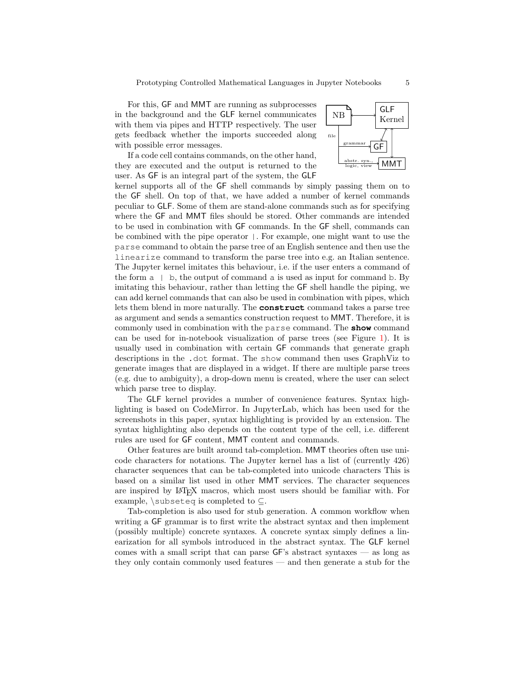For this, GF and MMT are running as subprocesses in the background and the GLF kernel communicates with them via pipes and HTTP respectively. The user gets feedback whether the imports succeeded along with possible error messages.

If a code cell contains commands, on the other hand, they are executed and the output is returned to the user. As GF is an integral part of the system, the GLF



kernel supports all of the GF shell commands by simply passing them on to the GF shell. On top of that, we have added a number of kernel commands peculiar to GLF. Some of them are stand-alone commands such as for specifying where the GF and MMT files should be stored. Other commands are intended to be used in combination with GF commands. In the GF shell, commands can be combined with the pipe operator |. For example, one might want to use the parse command to obtain the parse tree of an English sentence and then use the linearize command to transform the parse tree into e.g. an Italian sentence. The Jupyter kernel imitates this behaviour, i.e. if the user enters a command of the form  $a \mid b$ , the output of command a is used as input for command b. By imitating this behaviour, rather than letting the GF shell handle the piping, we can add kernel commands that can also be used in combination with pipes, which lets them blend in more naturally. The **construct** command takes a parse tree as argument and sends a semantics construction request to MMT. Therefore, it is commonly used in combination with the parse command. The **show** command can be used for in-notebook visualization of parse trees (see Figure [1\)](#page-5-1). It is usually used in combination with certain GF commands that generate graph descriptions in the .dot format. The show command then uses GraphViz to generate images that are displayed in a widget. If there are multiple parse trees (e.g. due to ambiguity), a drop-down menu is created, where the user can select which parse tree to display.

The GLF kernel provides a number of convenience features. Syntax highlighting is based on CodeMirror. In JupyterLab, which has been used for the screenshots in this paper, syntax highlighting is provided by an extension. The syntax highlighting also depends on the content type of the cell, i.e. different rules are used for GF content, MMT content and commands.

Other features are built around tab-completion. MMT theories often use unicode characters for notations. The Jupyter kernel has a list of (currently 426) character sequences that can be tab-completed into unicode characters This is based on a similar list used in other MMT services. The character sequences are inspired by L<sup>AT</sup>EX macros, which most users should be familiar with. For example,  $\simeq$  is completed to  $\subseteq$ .

Tab-completion is also used for stub generation. A common workflow when writing a GF grammar is to first write the abstract syntax and then implement (possibly multiple) concrete syntaxes. A concrete syntax simply defines a linearization for all symbols introduced in the abstract syntax. The GLF kernel comes with a small script that can parse  $GF$ 's abstract syntaxes — as long as they only contain commonly used features — and then generate a stub for the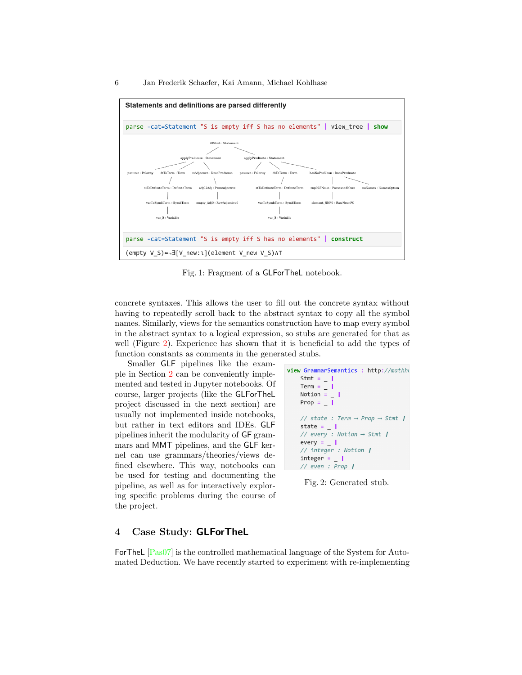<span id="page-5-1"></span>

Fig. 1: Fragment of a GLForTheL notebook.

concrete syntaxes. This allows the user to fill out the concrete syntax without having to repeatedly scroll back to the abstract syntax to copy all the symbol names. Similarly, views for the semantics construction have to map every symbol in the abstract syntax to a logical expression, so stubs are generated for that as well (Figure [2\)](#page-5-2). Experience has shown that it is beneficial to add the types of function constants as comments in the generated stubs.

Smaller GLF pipelines like the example in Section [2](#page-1-0) can be conveniently implemented and tested in Jupyter notebooks. Of course, larger projects (like the GLForTheL project discussed in the next section) are usually not implemented inside notebooks, but rather in text editors and IDEs. GLF pipelines inherit the modularity of GF grammars and MMT pipelines, and the GLF kernel can use grammars/theories/views defined elsewhere. This way, notebooks can be used for testing and documenting the pipeline, as well as for interactively exploring specific problems during the course of the project.

```
view GrammarSemantics : http://mathhu
    Stmt = \sqrt{ }Term =Notion = \frac{1}{2}J.
    Prop = \vert// state : Term \rightarrow Prop \rightarrow Stmt |
    state = \sqrt{ } |
    // every : Notion -> Stmt |
    every = \vert// integer : Notion |
    integer =// even : Prop
```
Fig. 2: Generated stub.

#### <span id="page-5-0"></span>4 Case Study: GLForTheL

ForTheL [\[Pas07\]](#page-9-1) is the controlled mathematical language of the System for Automated Deduction. We have recently started to experiment with re-implementing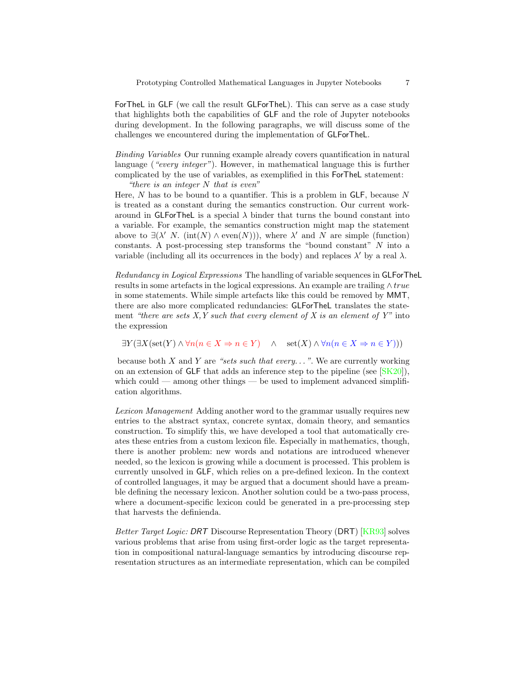ForTheL in GLF (we call the result GLForTheL). This can serve as a case study that highlights both the capabilities of GLF and the role of Jupyter notebooks during development. In the following paragraphs, we will discuss some of the challenges we encountered during the implementation of GLForTheL.

Binding Variables Our running example already covers quantification in natural language ("every integer"). However, in mathematical language this is further complicated by the use of variables, as exemplified in this ForTheL statement: "there is an integer  $N$  that is even"

Here,  $N$  has to be bound to a quantifier. This is a problem in GLF, because  $N$ is treated as a constant during the semantics construction. Our current workaround in GLForTheL is a special  $\lambda$  binder that turns the bound constant into a variable. For example, the semantics construction might map the statement above to  $\exists (\lambda' N. (\text{int}(N) \wedge \text{even}(N)))$ , where  $\lambda'$  and N are simple (function) constants. A post-processing step transforms the "bound constant" N into a variable (including all its occurrences in the body) and replaces  $\lambda'$  by a real  $\lambda$ .

Redundancy in Logical Expressions The handling of variable sequences in GLForTheL results in some artefacts in the logical expressions. An example are trailing  $\land true$ in some statements. While simple artefacts like this could be removed by MMT, there are also more complicated redundancies: GLForTheL translates the statement "there are sets X, Y such that every element of X is an element of Y" into the expression

 $\exists Y (\exists X (\text{set}(Y) \land \forall n (n \in X \Rightarrow n \in Y) \land \text{set}(X) \land \forall n (n \in X \Rightarrow n \in Y)))$ 

because both  $X$  and  $Y$  are "sets such that every...". We are currently working on an extension of  $GLF$  that adds an inference step to the pipeline (see  $[SK20]$ ), which could — among other things — be used to implement advanced simplification algorithms.

Lexicon Management Adding another word to the grammar usually requires new entries to the abstract syntax, concrete syntax, domain theory, and semantics construction. To simplify this, we have developed a tool that automatically creates these entries from a custom lexicon file. Especially in mathematics, though, there is another problem: new words and notations are introduced whenever needed, so the lexicon is growing while a document is processed. This problem is currently unsolved in GLF, which relies on a pre-defined lexicon. In the context of controlled languages, it may be argued that a document should have a preamble defining the necessary lexicon. Another solution could be a two-pass process, where a document-specific lexicon could be generated in a pre-processing step that harvests the definienda.

Better Target Logic: DRT Discourse Representation Theory (DRT) [\[KR93\]](#page-9-11) solves various problems that arise from using first-order logic as the target representation in compositional natural-language semantics by introducing discourse representation structures as an intermediate representation, which can be compiled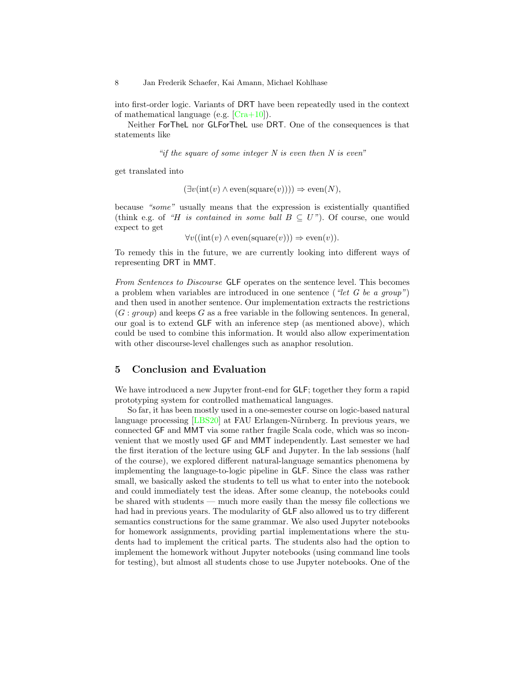into first-order logic. Variants of DRT have been repeatedly used in the context of mathematical language (e.g.  $[Cra+10]$ ).

Neither ForTheL nor GLForTheL use DRT. One of the consequences is that statements like

"if the square of some integer  $N$  is even then  $N$  is even"

get translated into

$$
(\exists v(\text{int}(v) \land \text{even}(\text{square}(v)))) \Rightarrow \text{even}(N),
$$

because "some" usually means that the expression is existentially quantified (think e.g. of "H is contained in some ball  $B \subseteq U$ "). Of course, one would expect to get

 $\forall v((\text{int}(v) \land \text{even}(square(v))) \Rightarrow \text{even}(v)).$ 

To remedy this in the future, we are currently looking into different ways of representing DRT in MMT.

From Sentences to Discourse GLF operates on the sentence level. This becomes a problem when variables are introduced in one sentence ("let G be a group") and then used in another sentence. Our implementation extracts the restrictions  $(G: group)$  and keeps G as a free variable in the following sentences. In general, our goal is to extend GLF with an inference step (as mentioned above), which could be used to combine this information. It would also allow experimentation with other discourse-level challenges such as anaphor resolution.

## <span id="page-7-0"></span>5 Conclusion and Evaluation

We have introduced a new Jupyter front-end for GLF; together they form a rapid prototyping system for controlled mathematical languages.

So far, it has been mostly used in a one-semester course on logic-based natural language processing [\[LBS20\]](#page-9-12) at FAU Erlangen-Nürnberg. In previous years, we connected GF and MMT via some rather fragile Scala code, which was so inconvenient that we mostly used GF and MMT independently. Last semester we had the first iteration of the lecture using GLF and Jupyter. In the lab sessions (half of the course), we explored different natural-language semantics phenomena by implementing the language-to-logic pipeline in GLF. Since the class was rather small, we basically asked the students to tell us what to enter into the notebook and could immediately test the ideas. After some cleanup, the notebooks could be shared with students — much more easily than the messy file collections we had had in previous years. The modularity of GLF also allowed us to try different semantics constructions for the same grammar. We also used Jupyter notebooks for homework assignments, providing partial implementations where the students had to implement the critical parts. The students also had the option to implement the homework without Jupyter notebooks (using command line tools for testing), but almost all students chose to use Jupyter notebooks. One of the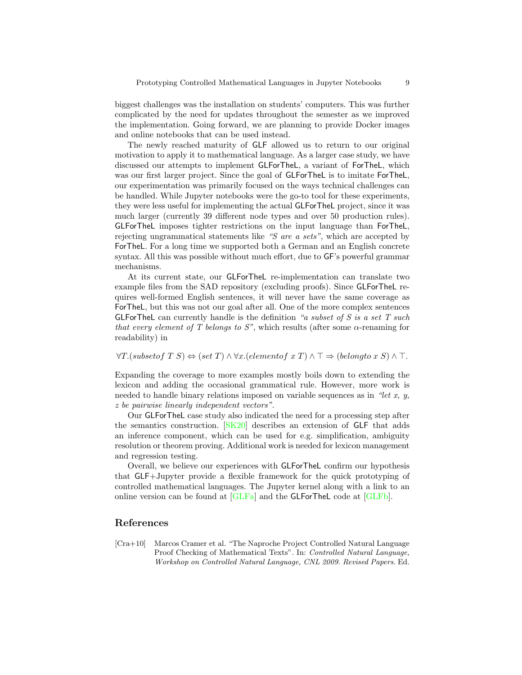biggest challenges was the installation on students' computers. This was further complicated by the need for updates throughout the semester as we improved the implementation. Going forward, we are planning to provide Docker images and online notebooks that can be used instead.

The newly reached maturity of GLF allowed us to return to our original motivation to apply it to mathematical language. As a larger case study, we have discussed our attempts to implement GLForTheL, a variant of ForTheL, which was our first larger project. Since the goal of GLForTheL is to imitate ForTheL, our experimentation was primarily focused on the ways technical challenges can be handled. While Jupyter notebooks were the go-to tool for these experiments, they were less useful for implementing the actual GLForTheL project, since it was much larger (currently 39 different node types and over 50 production rules). GLForTheL imposes tighter restrictions on the input language than ForTheL, rejecting ungrammatical statements like "S are a sets", which are accepted by ForTheL. For a long time we supported both a German and an English concrete syntax. All this was possible without much effort, due to GF's powerful grammar mechanisms.

At its current state, our GLForTheL re-implementation can translate two example files from the SAD repository (excluding proofs). Since GLForTheL requires well-formed English sentences, it will never have the same coverage as ForTheL, but this was not our goal after all. One of the more complex sentences **GLForTheL** can currently handle is the definition "a subset of S is a set T such that every element of T belongs to S", which results (after some  $\alpha$ -renaming for readability) in

 $\forall T. (subset\;T\;S) \Leftrightarrow (set\;T) \wedge \forall x. (element \in T\;T) \wedge \top \Rightarrow (belongto\;x\;S) \wedge \top.$ 

Expanding the coverage to more examples mostly boils down to extending the lexicon and adding the occasional grammatical rule. However, more work is needed to handle binary relations imposed on variable sequences as in "let x, y, z be pairwise linearly independent vectors".

Our GLForTheL case study also indicated the need for a processing step after the semantics construction.  $[SK20]$  describes an extension of GLF that adds an inference component, which can be used for e.g. simplification, ambiguity resolution or theorem proving. Additional work is needed for lexicon management and regression testing.

Overall, we believe our experiences with GLForTheL confirm our hypothesis that GLF+Jupyter provide a flexible framework for the quick prototyping of controlled mathematical languages. The Jupyter kernel along with a link to an online version can be found at [\[GLFa\]](#page-9-13) and the GLForTheL code at [\[GLFb\]](#page-9-14).

#### References

<span id="page-8-0"></span>[Cra+10] Marcos Cramer et al. "The Naproche Project Controlled Natural Language Proof Checking of Mathematical Texts". In: Controlled Natural Language, Workshop on Controlled Natural Language, CNL 2009. Revised Papers. Ed.